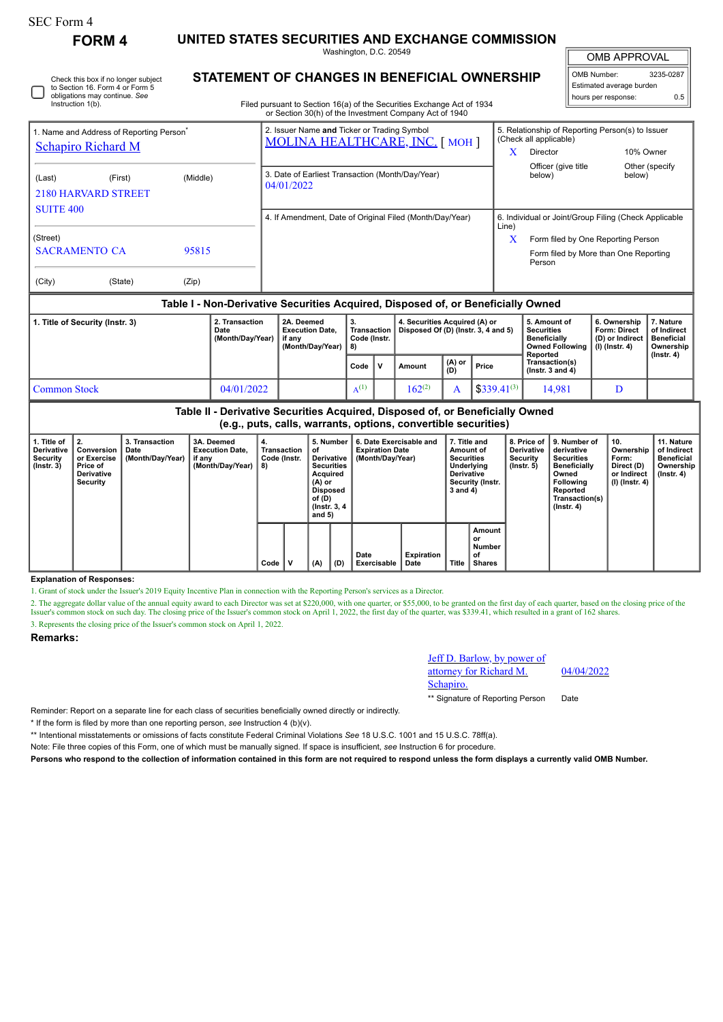# SEC Form 4

**FORM 4 UNITED STATES SECURITIES AND EXCHANGE COMMISSION**

Washington, D.C. 20549 **STATEMENT OF CHANGES IN BENEFICIAL OWNERSHIP**

OMB APPROVAL

 $\mathbb{I}$ 

| OMB Number:              | 3235-0287 |  |  |  |  |  |  |  |
|--------------------------|-----------|--|--|--|--|--|--|--|
| Estimated average burden |           |  |  |  |  |  |  |  |
| hours per response:      | ሰ 5       |  |  |  |  |  |  |  |
|                          |           |  |  |  |  |  |  |  |

| Instruction 1(b).             | <b>ODIGATORS THEY CONTINUE.</b> OCC.                 |          | Filed pursuant to Section 16(a) of the Securities Exchange Act of 1934               | nours per response:                                            |                                    |                                                  |                                       |  |  |  |  |  |  |
|-------------------------------|------------------------------------------------------|----------|--------------------------------------------------------------------------------------|----------------------------------------------------------------|------------------------------------|--------------------------------------------------|---------------------------------------|--|--|--|--|--|--|
|                               |                                                      |          | or Section 30(h) of the Investment Company Act of 1940                               |                                                                |                                    |                                                  |                                       |  |  |  |  |  |  |
|                               | 1. Name and Address of Reporting Person <sup>®</sup> |          | 2. Issuer Name and Ticker or Trading Symbol<br><b>MOLINA HEALTHCARE, INC. [MOH ]</b> |                                                                | (Check all applicable)             | 5. Relationship of Reporting Person(s) to Issuer |                                       |  |  |  |  |  |  |
| <b>Schapiro Richard M</b>     |                                                      |          |                                                                                      |                                                                | Director                           |                                                  | 10% Owner                             |  |  |  |  |  |  |
| (Last)                        | (First)<br><b>2180 HARVARD STREET</b>                | (Middle) | 3. Date of Earliest Transaction (Month/Day/Year)<br>04/01/2022                       |                                                                | Officer (give title)<br>below)     |                                                  | Other (specify)<br>below)             |  |  |  |  |  |  |
| <b>SUITE 400</b>              |                                                      |          | 4. If Amendment, Date of Original Filed (Month/Day/Year)                             | 6. Individual or Joint/Group Filing (Check Applicable<br>Line) |                                    |                                                  |                                       |  |  |  |  |  |  |
| (Street)                      |                                                      |          |                                                                                      | X                                                              | Form filed by One Reporting Person |                                                  |                                       |  |  |  |  |  |  |
| <b>SACRAMENTO CA</b><br>95815 |                                                      |          |                                                                                      |                                                                | Person                             |                                                  | Form filed by More than One Reporting |  |  |  |  |  |  |
| (City)                        | (State)                                              | (Zip)    |                                                                                      |                                                                |                                    |                                                  |                                       |  |  |  |  |  |  |
|                               |                                                      |          | Table I - Non-Derivative Securities Acquired, Disposed of, or Beneficially Owned     |                                                                |                                    |                                                  |                                       |  |  |  |  |  |  |

### **Table I - Non-Derivative Securities Acquired, Disposed of, or Beneficially Owned**

| 1. Title of Security (Instr. 3) | 2. Transaction<br>Date<br>(Month/Day/Year) | 2A. Deemed<br><b>Execution Date.</b><br>if anv<br>(Month/Dav/Year) | З.<br>Code (Instr.<br>  8) |     | 4. Securities Acquired (A) or<br>Transaction   Disposed Of (D) (Instr. 3, 4 and 5) |               |                  | 5. Amount of<br>Securities<br>Beneficially<br>Owned Following<br>Reported | 6. Ownership<br><b>Form: Direct</b><br>(D) or Indirect<br>(I) (Instr. 4) | '. Nature<br>of Indirect<br>Beneficial<br>Ownership<br>(Instr. 4) |
|---------------------------------|--------------------------------------------|--------------------------------------------------------------------|----------------------------|-----|------------------------------------------------------------------------------------|---------------|------------------|---------------------------------------------------------------------------|--------------------------------------------------------------------------|-------------------------------------------------------------------|
|                                 |                                            |                                                                    | Code                       | l v | Amount                                                                             | (A) or<br>(D) | Price            | Transaction(s)<br>( $lnstr. 3$ and $4$ )                                  |                                                                          |                                                                   |
| Common Stock                    | 04/01/2022                                 |                                                                    | $A^{(1)}$                  |     | $162^{(2)}$                                                                        |               | $$339.41^{(3)}$$ | 14.981                                                                    |                                                                          |                                                                   |

| Table II - Derivative Securities Acquired, Disposed of, or Beneficially Owned<br>(e.g., puts, calls, warrants, options, convertible securities) |                                                                 |                                            |                                                                    |                                         |  |                                                                                                                                    |     |                                                                       |                           |                                                                                                                   |                                               |                                                           |                                                                                                                                                |                                                                          |                                                                                 |
|-------------------------------------------------------------------------------------------------------------------------------------------------|-----------------------------------------------------------------|--------------------------------------------|--------------------------------------------------------------------|-----------------------------------------|--|------------------------------------------------------------------------------------------------------------------------------------|-----|-----------------------------------------------------------------------|---------------------------|-------------------------------------------------------------------------------------------------------------------|-----------------------------------------------|-----------------------------------------------------------|------------------------------------------------------------------------------------------------------------------------------------------------|--------------------------------------------------------------------------|---------------------------------------------------------------------------------|
| 1. Title of<br>Derivative<br>Security<br>$($ lnstr. 3 $)$                                                                                       | Conversion<br>or Exercise<br>Price of<br>Derivative<br>Security | 3. Transaction<br>Date<br>(Month/Day/Year) | 3A. Deemed<br><b>Execution Date.</b><br>if any<br>(Month/Day/Year) | 4.<br>Transaction<br>Code (Instr.<br>8) |  | 5. Number<br>οf<br>Derivative<br><b>Securities</b><br>Acquired<br>(A) or<br><b>Disposed</b><br>of (D)<br>(Instr. 3, 4)<br>and $5)$ |     | 6. Date Exercisable and<br><b>Expiration Date</b><br>(Month/Day/Year) |                           | 7. Title and<br>Amount of<br><b>Securities</b><br>Underlying<br><b>Derivative</b><br>Security (Instr.<br>3 and 4) |                                               | 8. Price of<br>Derivative<br>Security<br>$($ lnstr. 5 $)$ | 9. Number of<br>derivative<br>Securities<br><b>Beneficially</b><br>Owned<br><b>Following</b><br>Reported<br>Transaction(s)<br>$($ Instr. 4 $)$ | 10.<br>Ownership<br>Form:<br>Direct (D)<br>or Indirect<br>(I) (Instr. 4) | 11. Nature<br>of Indirect<br><b>Beneficial</b><br>Ownership<br>$($ lnstr. 4 $)$ |
|                                                                                                                                                 |                                                                 |                                            |                                                                    | Code                                    |  | (A)                                                                                                                                | (D) | Date<br>Exercisable                                                   | <b>Expiration</b><br>Date | Title                                                                                                             | Amount<br>or<br>Number<br>οf<br><b>Shares</b> |                                                           |                                                                                                                                                |                                                                          |                                                                                 |

#### **Explanation of Responses:**

1. Grant of stock under the Issuer's 2019 Equity Incentive Plan in connection with the Reporting Person's services as a Director.

2. The aggregate dollar value of the annual equity award to each Director was set at \$220,000, with one quarter, or \$55,000, to be granted on the first day of each quarter, based on the closing price of the Issuer's common stock on such day. The closing price of the Issuer's common stock on April 1, 2022, the first day of the quarter, was \$339.41, which resulted in a grant of 162 shares.

3. Represents the closing price of the Issuer's common stock on April 1, 2022.

#### **Remarks:**

## Jeff D. Barlow, by power of attorney for Richard M.

Schapiro.

04/04/2022

\*\* Signature of Reporting Person Date

Reminder: Report on a separate line for each class of securities beneficially owned directly or indirectly.

\* If the form is filed by more than one reporting person, *see* Instruction 4 (b)(v).

\*\* Intentional misstatements or omissions of facts constitute Federal Criminal Violations *See* 18 U.S.C. 1001 and 15 U.S.C. 78ff(a).

Note: File three copies of this Form, one of which must be manually signed. If space is insufficient, *see* Instruction 6 for procedure.

**Persons who respond to the collection of information contained in this form are not required to respond unless the form displays a currently valid OMB Number.**

Check this box if no longer subject to Section 16. Form 4 or Form 5 obligations may continue. *See* Instruction 1(b).